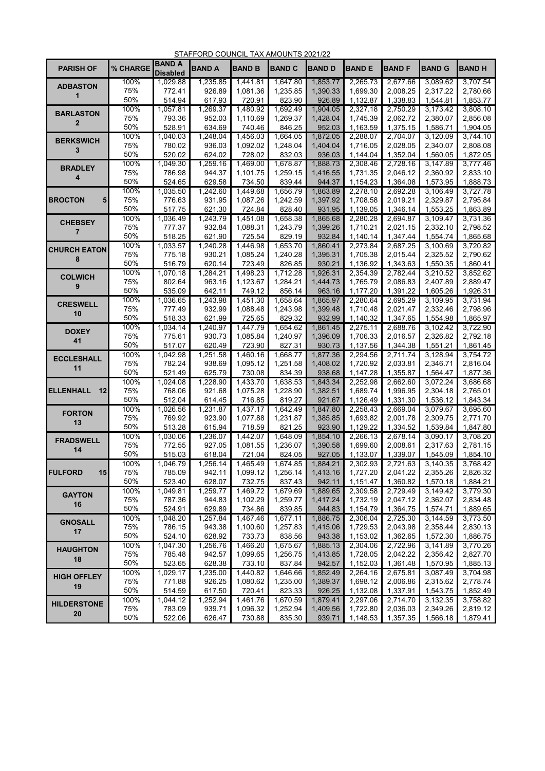|                                  |             |                                  | STAFFORD COUNCIL TAX AMOUNTS 2021/22 |                      |                      |                      |                      |                      |                      |                      |
|----------------------------------|-------------|----------------------------------|--------------------------------------|----------------------|----------------------|----------------------|----------------------|----------------------|----------------------|----------------------|
| <b>PARISH OF</b>                 | % CHARGE    | <b>BAND A</b><br><b>Disabled</b> | <b>BAND A</b>                        | <b>BAND B</b>        | <b>BAND C</b>        | <b>BAND D</b>        | <b>BAND E</b>        | <b>BAND F</b>        | <b>BAND G</b>        | <b>BAND H</b>        |
| <b>ADBASTON</b>                  | 100%        | 1,029.88                         | 1,235.85                             | 1.441.81             | 1,647.80             | 1.853.77             | 2,265.73             | 2,677.66             | 3,089.62             | 3.707.54             |
| 1                                | 75%         | 772.41                           | 926.89                               | 1,081.36             | 1,235.85             | 1,390.33             | 1,699.30             | 2,008.25             | 2,317.22             | 2,780.66             |
|                                  | 50%         | 514.94                           | 617.93                               | 720.91               | 823.90               | 926.89               | 1,132.87             | 1,338.83             | 1,544.81             | 1.853.77             |
| <b>BARLASTON</b>                 | 100%        | 1,057.81                         | 1,269.37                             | 1,480.92             | 1,692.49             | 1,904.05             | 2,327.18             | 2,750.29             | 3,173.42             | 3,808.10             |
| $\mathbf{2}$                     | 75%         | 793.36                           | 952.03                               | 1,110.69             | 1,269.37             | 1,428.04             | 1,745.39             | 2,062.72             | 2,380.07             | 2,856.08             |
|                                  | 50%         | 528.91                           | 634.69                               | 740.46               | 846.25               | 952.03               | 1,163.59             | 1,375.15             | 1,586.71             | 1,904.05             |
| <b>BERKSWICH</b>                 | 100%        | 1,040.03                         | 1,248.04                             | 1,456.03             | 1,664.05             | 1,872.05             | 2,288.07             | 2,704.07             | 3,120.09             | 3,744.10             |
| 3                                | 75%         | 780.02                           | 936.03                               | 1,092.02             | 1,248.04             | 1,404.04             | 1,716.05             | 2,028.05             | 2,340.07             | 2,808.08             |
|                                  | 50%         | 520.02                           | 624.02                               | 728.02               | 832.03               | 936.03               | 1,144.04             | 1,352.04             | 1,560.05             | 1,872.05             |
| <b>BRADLEY</b>                   | 100%        | 1,049.30                         | 1,259.16                             | 1,469.00             | 1,678.87             | 1,888.73             | 2,308.46             | 2,728.16             | 3,147.89             | 3,777.46             |
| 4                                | 75%         | 786.98                           | 944.37                               | 1,101.75             | 1,259.15             | 1,416.55             | 1,731.35             | 2,046.12             | 2,360.92             | 2,833.10             |
|                                  | 50%         | 524.65                           | 629.58                               | 734.50               | 839.44               | 944.37               | 1,154.23             | 1,364.08             | 1,573.95             | 1,888.73             |
| <b>BROCTON</b><br>5 <sub>1</sub> | 100%<br>75% | 1,035.50<br>776.63               | 1,242.60<br>931.95                   | 1,449.68<br>1,087.26 | 1,656.79<br>1,242.59 | 1,863.89<br>1,397.92 | 2,278.10<br>1,708.58 | 2,692.28<br>2,019.21 | 3,106.49<br>2,329.87 | 3,727.78<br>2,795.84 |
|                                  | 50%         | 517.75                           | 621.30                               | 724.84               | 828.40               | 931.95               | 1,139.05             | 1,346.14             | 1,553.25             | 1,863.89             |
|                                  | 100%        | 1,036.49                         | 1,243.79                             | 1,451.08             | 1,658.38             | 1,865.68             | 2,280.28             | 2,694.87             | 3,109.47             | 3,731.36             |
| <b>CHEBSEY</b>                   | 75%         | 777.37                           | 932.84                               | 1,088.31             | 1,243.79             | 1,399.26             | 1,710.21             | 2,021.15             | 2,332.10             | 2,798.52             |
| $\overline{7}$                   | 50%         | 518.25                           | 621.90                               | 725.54               | 829.19               | 932.84               | 1,140.14             | 1,347.44             | 1,554.74             | 1,865.68             |
|                                  | 100%        | 1,033.57                         | 1,240.28                             | 1,446.98             | 1,653.70             | 1,860.41             | 2,273.84             | 2,687.25             | 3,100.69             | 3,720.82             |
| <b>CHURCH EATON</b>              | 75%         | 775.18                           | 930.21                               | 1,085.24             | 1,240.28             | 1,395.31             | 1,705.38             | 2,015.44             | 2,325.52             | 2,790.62             |
| 8                                | 50%         | 516.79                           | 620.14                               | 723.49               | 826.85               | 930.21               | 1,136.92             | 1,343.63             | 1,550.35             | 1,860.41             |
|                                  | 100%        | 1,070.18                         | 1,284.21                             | 1,498.23             | 1,712.28             | 1,926.31             | 2,354.39             | 2,782.44             | 3,210.52             | 3,852.62             |
| <b>COLWICH</b>                   | 75%         | 802.64                           | 963.16                               | 1,123.67             | 1,284.21             | 1,444.73             | 1,765.79             | 2,086.83             | 2,407.89             | 2,889.47             |
| 9                                | 50%         | 535.09                           | 642.11                               | 749.12               | 856.14               | 963.16               | 1,177.20             | 1,391.22             | 1,605.26             | 1,926.31             |
| <b>CRESWELL</b>                  | 100%        | 1,036.65                         | 1,243.98                             | 1,451.30             | 1,658.64             | 1,865.97             | 2,280.64             | 2,695.29             | 3,109.95             | 3,731.94             |
| 10                               | 75%         | 777.49                           | 932.99                               | 1,088.48             | 1,243.98             | 1,399.48             | 1,710.48             | 2,021.47             | 2,332.46             | 2,798.96             |
|                                  | 50%         | 518.33                           | 621.99                               | 725.65               | 829.32               | 932.99               | 1,140.32             | 1,347.65             | 1,554.98             | 1,865.97             |
| <b>DOXEY</b>                     | 100%        | 1,034.14                         | 1,240.97                             | 1,447.79             | 1,654.62             | 1,861.45             | 2,275.11             | 2,688.76             | 3,102.42             | 3,722.90             |
| 41                               | 75%         | 775.61                           | 930.73                               | 1,085.84             | 1,240.97             | 1,396.09             | 1,706.33             | 2,016.57             | 2,326.82             | 2,792.18             |
|                                  | 50%         | 517.07                           | 620.49                               | 723.90               | 827.31               | 930.73               | 1,137.56             | 1,344.38             | 1,551.21             | 1,861.45             |
| <b>ECCLESHALL</b>                | 100%        | 1,042.98                         | 1,251.58                             | 1,460.16             | 1,668.77             | 1,877.36             | 2,294.56             | 2,711.74             | 3,128.94             | 3,754.72             |
| 11                               | 75%         | 782.24                           | 938.69                               | 1,095.12             | 1,251.58             | 1,408.02             | 1,720.92             | 2,033.81             | 2,346.71             | 2,816.04             |
|                                  | 50%         | 521.49                           | 625.79                               | 730.08               | 834.39               | 938.68               | 1,147.28             | 1,355.87             | 1,564.47             | 1,877.36             |
|                                  | 100%        | 1,024.08                         | 1,228.90                             | 1,433.70             | 1,638.53             | 1,843.34             | 2,252.98             | 2,662.60             | 3,072.24             | 3,686.68             |
| <b>ELLENHALL</b><br>12           | 75%         | 768.06                           | 921.68                               | 1,075.28             | 1,228.90             | 1,382.51             | 1,689.74             | 1,996.95             | 2,304.18             | 2,765.01             |
|                                  | 50%         | 512.04                           | 614.45                               | 716.85               | 819.27<br>1,642.49   | 921.67               | 1,126.49             | 1,331.30             | 1,536.12             | 1,843.34             |
| <b>FORTON</b>                    | 100%<br>75% | 1,026.56<br>769.92               | 1,231.87<br>923.90                   | 1,437.17<br>1,077.88 | 1,231.87             | 1,847.80<br>1,385.85 | 2,258.43<br>1,693.82 | 2,669.04<br>2,001.78 | 3,079.67<br>2,309.75 | 3,695.60<br>2,771.70 |
| 13                               | 50%         | 513.28                           | 615.94                               | 718.59               | 821.25               | 923.90               | 1,129.22             | 1,334.52             | 1,539.84             | 1,847.80             |
|                                  | 100%        | 1,030.06                         | 1,236.07                             | 1,442.07             | 1,648.09             | 1,854.10             | 2,266.13             | 2,678.14             | 3.090.17             | 3,708.20             |
| <b>FRADSWELL</b>                 | 75%         | 772.55                           | 927.05                               | 1,081.55             | 1,236.07             | 1,390.58             | 1,699.60             | 2,008.61             | 2,317.63             | 2,781.15             |
| 14                               | 50%         | 515.03                           | 618.04                               | 721.04               | 824.05               | 927.05               | 1,133.07             | 1,339.07             | 1,545.09             | 1,854.10             |
|                                  | 100%        | 1,046.79                         | 1,256.14                             | 1,465.49             | 1,674.85             | 1,884.21             | 2,302.93             | 2,721.63             | 3,140.35             | 3,768.42             |
| <b>FULFORD</b><br>15             | 75%         | 785.09                           | 942.11                               | 1,099.12             | 1,256.14             | 1,413.16             | 1,727.20             | 2,041.22             | 2,355.26             | 2,826.32             |
|                                  | 50%         | 523.40                           | 628.07                               | 732.75               | 837.43               | 942.11               | 1,151.47             | 1,360.82             | 1,570.18             | 1,884.21             |
| <b>GAYTON</b>                    | 100%        | 1,049.81                         | 1,259.77                             | 1,469.72             | 1,679.69             | 1,889.65             | 2,309.58             | 2,729.49             | 3,149.42             | 3,779.30             |
| 16                               | 75%         | 787.36                           | 944.83                               | 1,102.29             | 1,259.77             | 1,417.24             | 1,732.19             | 2,047.12             | 2,362.07             | 2,834.48             |
|                                  | 50%         | 524.91                           | 629.89                               | 734.86               | 839.85               | 944.83               | 1,154.79             | 1,364.75             | 1,574.71             | 1,889.65             |
| <b>GNOSALL</b>                   | 100%        | 1,048.20                         | 1,257.84                             | 1,467.46             | 1,677.11             | 1,886.75             | 2,306.04             | 2,725.30             | 3,144.59             | 3,773.50             |
| 17                               | 75%         | 786.15                           | 943.38                               | 1,100.60             | 1,257.83             | 1,415.06             | 1,729.53             | 2,043.98             | 2,358.44             | 2,830.13             |
|                                  | 50%         | 524.10                           | 628.92                               | 733.73               | 838.56               | 943.38               | 1,153.02             | 1,362.65             | 1,572.30             | 1,886.75             |
| <b>HAUGHTON</b>                  | 100%        | 1,047.30                         | 1,256.76                             | 1,466.20             | 1,675.67             | 1,885.13             | 2,304.06             | 2,722.96             | 3,141.89             | 3,770.26             |
| 18                               | 75%         | 785.48                           | 942.57                               | 1,099.65             | 1,256.75             | 1,413.85             | 1,728.05             | 2,042.22             | 2,356.42             | 2,827.70             |
|                                  | 50%         | 523.65                           | 628.38                               | 733.10               | 837.84               | 942.57               | 1,152.03             | 1,361.48             | 1,570.95             | 1,885.13             |
| <b>HIGH OFFLEY</b>               | 100%        | 1,029.17                         | 1,235.00                             | 1,440.82             | 1,646.66             | 1,852.49             | 2,264.16             | 2,675.81             | 3,087.49             | 3,704.98             |
| 19                               | 75%         | 771.88                           | 926.25                               | 1,080.62             | 1,235.00             | 1,389.37             | 1,698.12             | 2,006.86             | 2,315.62             | 2,778.74             |
|                                  | 50%         | 514.59                           | 617.50                               | 720.41               | 823.33               | 926.25               | 1,132.08             | 1,337.91             | 1,543.75             | 1,852.49             |
| <b>HILDERSTONE</b>               | 100%        | 1,044.12                         | 1,252.94                             | 1,461.76             | 1,670.59             | 1,879.41             | 2,297.06             | 2,714.70             | 3,132.35             | 3,758.82             |
| 20                               | 75%         | 783.09                           | 939.71                               | 1,096.32             | 1,252.94             | 1,409.56             | 1,722.80             | 2,036.03             | 2,349.26             | 2,819.12             |
|                                  | 50%         | 522.06                           | 626.47                               | 730.88               | 835.30               | 939.71               | 1,148.53             | 1,357.35             | 1,566.18             | 1,879.41             |

STAFFORD COUNCIL TAY AMOUNTS 2021/22